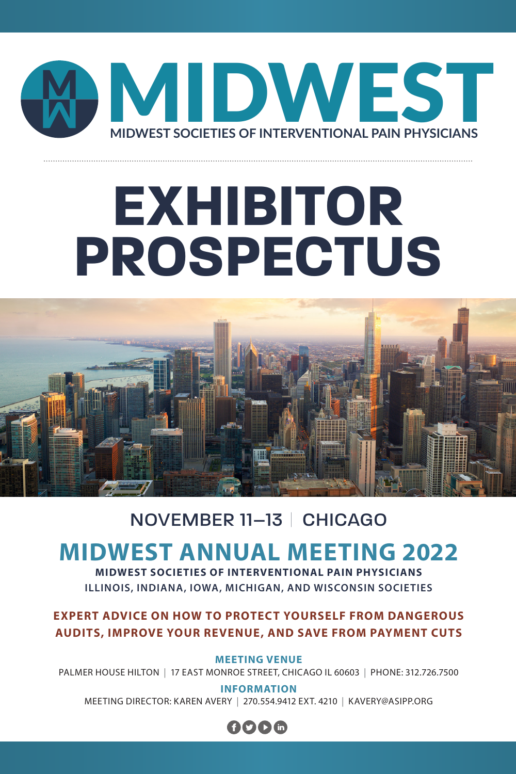

## **EXHIBITOR PROSPECTUS**



#### NOVEMBER 11–13 | CHICAGO

### **MIDWEST ANNUAL MEETING 2022**

**MIDWEST SOCIETIES OF INTERVENTIONAL PAIN PHYSICIANS ILLINOIS, INDIANA, IOWA, MICHIGAN, AND WISCONSIN SOCIETIES**

#### **EXPERT ADVICE ON HOW TO PROTECT YOURSELF FROM DANGEROUS AUDITS, IMPROVE YOUR REVENUE, AND SAVE FROM PAYMENT CUTS**

**MEETING VENUE**

PALMER HOUSE HILTON | 17 EAST MONROE STREET, CHICAGO IL 60603 | PHONE: 312.726.7500

**INFORMATION** MEETING DIRECTOR: KAREN AVERY | 270.554.9412 EXT. 4210 | KAVERY@ASIPP.ORG

#### OOOM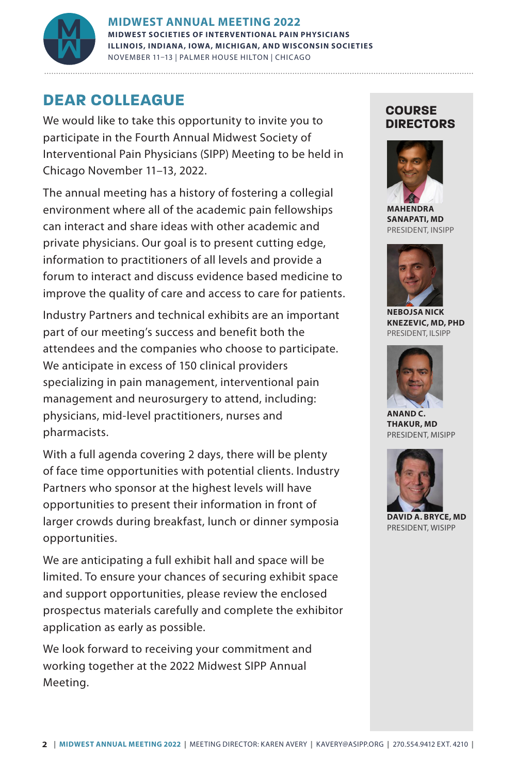

**MIDWEST ANNUAL MEETING 2022 MIDWEST SOCIETIES OF INTERVENTIONAL PAIN PHYSICIANS ILLINOIS, INDIANA, IOWA, MICHIGAN, AND WISCONSIN SOCIETIES** NOVEMBER 11–13 | PALMER HOUSE HILTON | CHICAGO **MIDWEST SOCIETIES OF INTERVENTIONAL PAIN PHYSICIANS** MIDWEST ANNUAL MEETING 2022<br>
MIDWEST SOCIETIES OF INTERVENTIONAL PAIN PHYSICIANS<br>
ILLINOIS, INDIANA, IOWA, MICHIGAN, AND WISCONSIN SOCIET<br>
NOVEMBER 11-13 | PALMER HOUSE HILTON | CHICAGO

#### **DEAR COLLEAGUE**

We would like to take this opportunity to invite you to participate in the Fourth Annual Midwest Society of Interventional Pain Physicians (SIPP) Meeting to be held in Chicago November 11–13, 2022.

The annual meeting has a history of fostering a collegial environment where all of the academic pain fellowships can interact and share ideas with other academic and private physicians. Our goal is to present cutting edge, information to practitioners of all levels and provide a forum to interact and discuss evidence based medicine to improve the quality of care and access to care for patients.

Industry Partners and technical exhibits are an important part of our meeting's success and benefit both the attendees and the companies who choose to participate. We anticipate in excess of 150 clinical providers specializing in pain management, interventional pain management and neurosurgery to attend, including: physicians, mid-level practitioners, nurses and pharmacists.

With a full agenda covering 2 days, there will be plenty of face time opportunities with potential clients. Industry Partners who sponsor at the highest levels will have opportunities to present their information in front of larger crowds during breakfast, lunch or dinner symposia opportunities.

We are anticipating a full exhibit hall and space will be limited. To ensure your chances of securing exhibit space and support opportunities, please review the enclosed prospectus materials carefully and complete the exhibitor application as early as possible.

We look forward to receiving your commitment and working together at the 2022 Midwest SIPP Annual Meeting.

#### **COURSE DIRECTORS**



**MAHENDRA SANAPATI, MD** PRESIDENT, INSIPP



**NEBOJSA NICK KNEZEVIC, MD, PHD** PRESIDENT, ILSIPP



**ANAND C. THAKUR, MD** PRESIDENT, MISIPP



**DAVID A. BRYCE, MD** PRESIDENT, WISIPP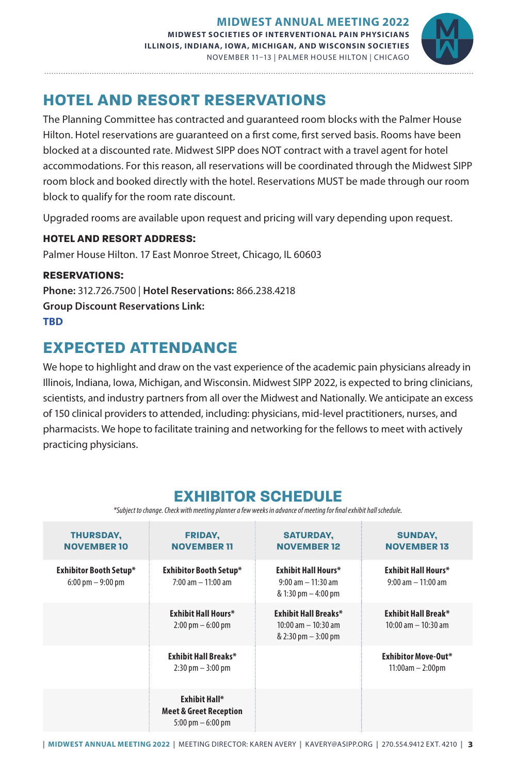

#### **HOTEL AND RESORT RESERVATIONS**

The Planning Committee has contracted and guaranteed room blocks with the Palmer House Hilton. Hotel reservations are guaranteed on a first come, first served basis. Rooms have been blocked at a discounted rate. Midwest SIPP does NOT contract with a travel agent for hotel accommodations. For this reason, all reservations will be coordinated through the Midwest SIPP room block and booked directly with the hotel. Reservations MUST be made through our room block to qualify for the room rate discount.

Upgraded rooms are available upon request and pricing will vary depending upon request.

#### **HOTEL AND RESORT ADDRESS:**

Palmer House Hilton. 17 East Monroe Street, Chicago, IL 60603

#### **RESERVATIONS:**

**Phone:** 312.726.7500 | **Hotel Reservations:** 866.238.4218 **Group Discount Reservations Link: TBD**

#### **EXPECTED ATTENDANCE**

We hope to highlight and draw on the vast experience of the academic pain physicians already in Illinois, Indiana, Iowa, Michigan, and Wisconsin. Midwest SIPP 2022, is expected to bring clinicians, scientists, and industry partners from all over the Midwest and Nationally. We anticipate an excess of 150 clinical providers to attended, including: physicians, mid-level practitioners, nurses, and pharmacists. We hope to facilitate training and networking for the fellows to meet with actively practicing physicians.

#### **EXHIBITOR SCHEDULE**

*\*Subject to change. Check with meeting planner a few weeks in advance of meeting for final exhibit hall schedule.*

| <b>THURSDAY,</b><br><b>NOVEMBER 10</b>                        | <b>FRIDAY,</b><br><b>NOVEMBER 11</b>                                                             | <b>SATURDAY,</b><br><b>NOVEMBER 12</b>                                                         | <b>SUNDAY,</b><br><b>NOVEMBER 13</b>                |
|---------------------------------------------------------------|--------------------------------------------------------------------------------------------------|------------------------------------------------------------------------------------------------|-----------------------------------------------------|
| Exhibitor Booth Setup*<br>$6:00 \text{ pm} - 9:00 \text{ pm}$ | Exhibitor Booth Setup*<br>$7:00 \text{ am} - 11:00 \text{ am}$                                   | <b>Exhibit Hall Hours*</b><br>$9:00$ am $-11:30$ am<br>$& 1:30 \text{ pm} - 4:00 \text{ pm}$   | <b>Exhibit Hall Hours*</b><br>$9:00$ am $-11:00$ am |
|                                                               | <b>Exhibit Hall Hours*</b><br>$2:00 \text{ pm} - 6:00 \text{ pm}$                                | <b>Exhibit Hall Breaks*</b><br>$10:00$ am $-10:30$ am<br>$& 2:30 \text{ pm} - 3:00 \text{ pm}$ | Exhibit Hall Break*<br>$10:00$ am $- 10:30$ am      |
|                                                               | <b>Exhibit Hall Breaks*</b><br>$2:30 \text{ pm} - 3:00 \text{ pm}$                               |                                                                                                | Exhibitor Move-Out*<br>$11:00am - 2:00pm$           |
|                                                               | <b>Exhibit Hall*</b><br><b>Meet &amp; Greet Reception</b><br>$5:00 \text{ pm} - 6:00 \text{ pm}$ |                                                                                                |                                                     |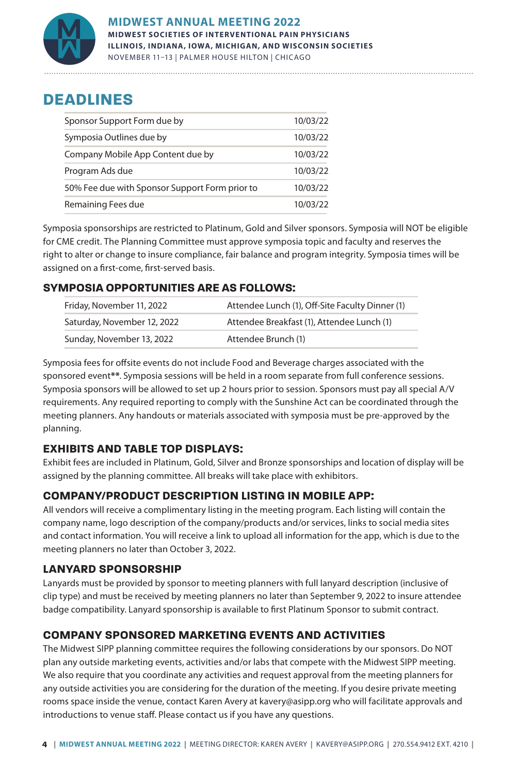

#### **DEADLINES**

| Sponsor Support Form due by                    | 10/03/22 |
|------------------------------------------------|----------|
| Symposia Outlines due by                       | 10/03/22 |
| Company Mobile App Content due by              | 10/03/22 |
| Program Ads due                                | 10/03/22 |
| 50% Fee due with Sponsor Support Form prior to | 10/03/22 |
| Remaining Fees due                             | 10/03/22 |

Symposia sponsorships are restricted to Platinum, Gold and Silver sponsors. Symposia will NOT be eligible for CME credit. The Planning Committee must approve symposia topic and faculty and reserves the right to alter or change to insure compliance, fair balance and program integrity. Symposia times will be assigned on a first-come, first-served basis.

#### **SYMPOSIA OPPORTUNITIES ARE AS FOLLOWS:**

| Friday, November 11, 2022   | Attendee Lunch (1), Off-Site Faculty Dinner (1) |  |  |
|-----------------------------|-------------------------------------------------|--|--|
| Saturday, November 12, 2022 | Attendee Breakfast (1), Attendee Lunch (1)      |  |  |
| Sunday, November 13, 2022   | Attendee Brunch (1)                             |  |  |

Symposia fees for offsite events do not include Food and Beverage charges associated with the sponsored event**\*\***. Symposia sessions will be held in a room separate from full conference sessions. Symposia sponsors will be allowed to set up 2 hours prior to session. Sponsors must pay all special A/V requirements. Any required reporting to comply with the Sunshine Act can be coordinated through the meeting planners. Any handouts or materials associated with symposia must be pre-approved by the planning.

#### **EXHIBITS AND TABLE TOP DISPLAYS:**

Exhibit fees are included in Platinum, Gold, Silver and Bronze sponsorships and location of display will be assigned by the planning committee. All breaks will take place with exhibitors.

#### **COMPANY/PRODUCT DESCRIPTION LISTING IN MOBILE APP:**

All vendors will receive a complimentary listing in the meeting program. Each listing will contain the company name, logo description of the company/products and/or services, links to social media sites and contact information. You will receive a link to upload all information for the app, which is due to the meeting planners no later than October 3, 2022.

#### **LANYARD SPONSORSHIP**

Lanyards must be provided by sponsor to meeting planners with full lanyard description (inclusive of clip type) and must be received by meeting planners no later than September 9, 2022 to insure attendee badge compatibility. Lanyard sponsorship is available to first Platinum Sponsor to submit contract.

#### **COMPANY SPONSORED MARKETING EVENTS AND ACTIVITIES**

The Midwest SIPP planning committee requires the following considerations by our sponsors. Do NOT plan any outside marketing events, activities and/or labs that compete with the Midwest SIPP meeting. We also require that you coordinate any activities and request approval from the meeting planners for any outside activities you are considering for the duration of the meeting. If you desire private meeting rooms space inside the venue, contact Karen Avery at kavery@asipp.org who will facilitate approvals and introductions to venue staff. Please contact us if you have any questions.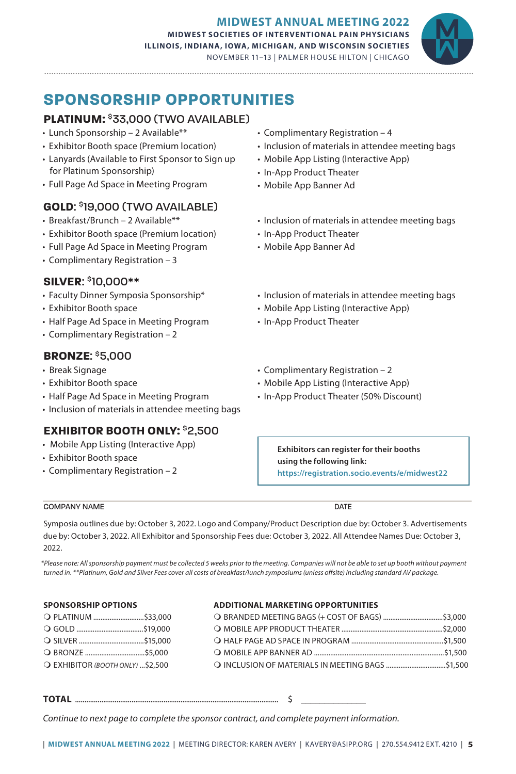

#### **SPONSORSHIP OPPORTUNITIES**

#### **PLATINUM:** \$33,000 (TWO AVAILABLE)

• Lunch Sponsorship – 2 Available\*\*

- Exhibitor Booth space (Premium location)
- Lanyards (Available to First Sponsor to Sign up for Platinum Sponsorship)
- Full Page Ad Space in Meeting Program

#### **GOLD**: \$19,000 (TWO AVAILABLE)

- Breakfast/Brunch 2 Available\*\*
- Exhibitor Booth space (Premium location)
- Full Page Ad Space in Meeting Program
- Complimentary Registration 3

#### **SILVER**: \$10,000\*\*

- Faculty Dinner Symposia Sponsorship\*
- Exhibitor Booth space
- Half Page Ad Space in Meeting Program
- Complimentary Registration 2

#### **BRONZE**: \$5,000

- Break Signage
- Exhibitor Booth space
- Half Page Ad Space in Meeting Program
- Inclusion of materials in attendee meeting bags

#### **EXHIBITOR BOOTH ONLY:** \$2,500

- Mobile App Listing (Interactive App)
- Exhibitor Booth space
- Complimentary Registration 2
- Complimentary Registration 4
- Inclusion of materials in attendee meeting bags
- Mobile App Listing (Interactive App)
- In-App Product Theater
- Mobile App Banner Ad
- Inclusion of materials in attendee meeting bags
- In-App Product Theater
- Mobile App Banner Ad
- Inclusion of materials in attendee meeting bags
- Mobile App Listing (Interactive App)
- In-App Product Theater
- Complimentary Registration 2
- Mobile App Listing (Interactive App)
- In-App Product Theater (50% Discount)

**Exhibitors can register for their booths using the following link: <https://registration.socio.events/e/midwest22>**

#### COMPANY NAME DATE

Symposia outlines due by: October 3, 2022. Logo and Company/Product Description due by: October 3. Advertisements due by: October 3, 2022. All Exhibitor and Sponsorship Fees due: October 3, 2022. All Attendee Names Due: October 3, 2022.

*\*Please note: All sponsorship payment must be collected 5 weeks prior to the meeting. Companies will not be able to set up booth without payment turned in. \*\*Platinum, Gold and Silver Fees cover all costs of breakfast/lunch symposiums (unless offsite) including standard AV package.*

#### **SPONSORSHIP OPTIONS**

#### m PLATINUM ............................\$33,000 m GOLD .....................................\$19,000 m SILVER ....................................\$15,000 m BRONZE .................................\$5,000

m EXHIBITOR *(BOOTH ONLY)* ...\$2,500

#### **ADDITIONAL MARKETING OPPORTUNITIES**

**TOTAL** ............................................................................................................ \$ \_\_\_\_\_\_\_\_\_\_\_\_\_\_

*Continue to next page to complete the sponsor contract, and complete payment information.*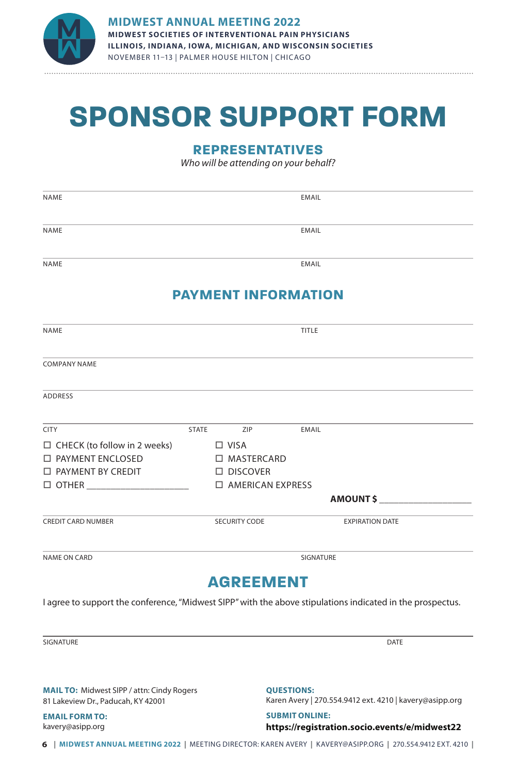

## **SPONSOR SUPPORT FORM**

#### **REPRESENTATIVES**

*Who will be attending on your behalf?*

| <b>NAME</b>                                                                                                                                |              |                                                       | <b>EMAIL</b> |                        |  |
|--------------------------------------------------------------------------------------------------------------------------------------------|--------------|-------------------------------------------------------|--------------|------------------------|--|
| <b>NAME</b>                                                                                                                                |              |                                                       | EMAIL        |                        |  |
| <b>NAME</b>                                                                                                                                |              |                                                       | <b>EMAIL</b> |                        |  |
|                                                                                                                                            |              | <b>PAYMENT INFORMATION</b>                            |              |                        |  |
| NAME                                                                                                                                       |              |                                                       | TITLE        |                        |  |
| <b>COMPANY NAME</b>                                                                                                                        |              |                                                       |              |                        |  |
| <b>ADDRESS</b>                                                                                                                             |              |                                                       |              |                        |  |
| <b>CITY</b>                                                                                                                                | <b>STATE</b> | ZIP                                                   | EMAIL        |                        |  |
| $\Box$ CHECK (to follow in 2 weeks) $\Box$ VISA<br>$\Box$ PAYMENT ENCLOSED<br>□ PAYMENT BY CREDIT<br>$\Box$ OTHER ________________________ |              | □ MASTERCARD<br>$\Box$ DISCOVER<br>□ AMERICAN EXPRESS |              |                        |  |
|                                                                                                                                            |              |                                                       |              | <b>AMOUNT \$</b>       |  |
| <b>CREDIT CARD NUMBER</b>                                                                                                                  |              | SECURITY CODE                                         |              | <b>EXPIRATION DATE</b> |  |
| <b>NAME ON CARD</b>                                                                                                                        |              |                                                       | SIGNATURE    |                        |  |
|                                                                                                                                            |              | <b>AGREEMENT</b>                                      |              |                        |  |

I agree to support the conference, "Midwest SIPP" with the above stipulations indicated in the prospectus.

SIGNATURE DATE DESCRIPTION OF SERVICES AND LOCAL CONTRACT OF SERVICES AND DESCRIPTION OF DATE OF SALES AND DESCRIPTION OF DRUGS AND LOCAL CONTRACT OF DRUGS AND LOCAL CONTRACT OF DRUGS AND DESCRIPTION OF DRUGS AND LOCAL CON

**MAIL TO:** Midwest SIPP / attn: Cindy Rogers 81 Lakeview Dr., Paducah, KY 42001

**EMAIL FORM TO:** kavery@asipp.org

**QUESTIONS:**

Karen Avery | 270.554.9412 ext. 4210 | kavery@asipp.org

**SUBMIT ONLINE: <https://registration.socio.events/e/midwest22>**